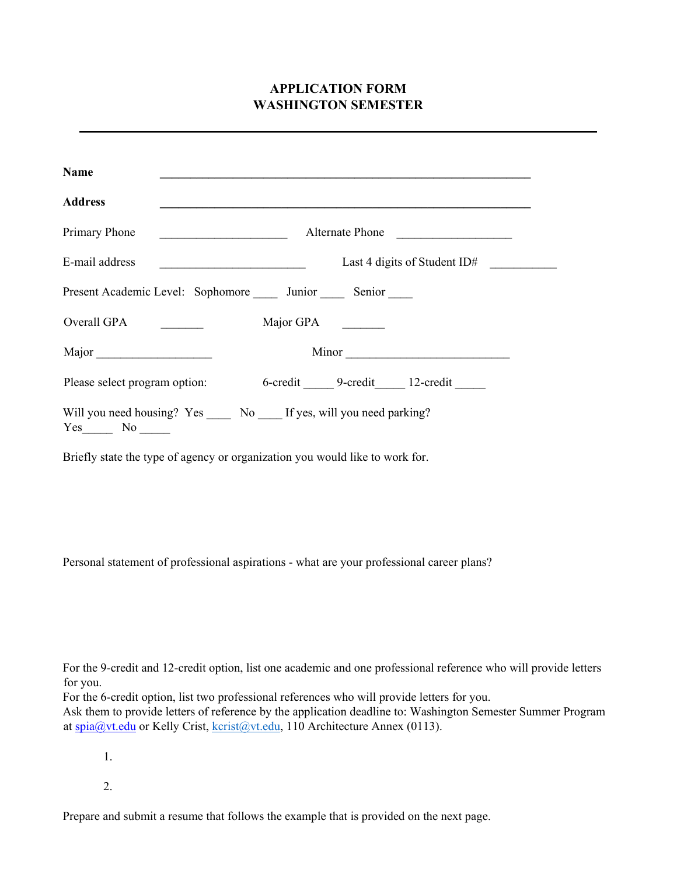# **APPLICATION FORM WASHINGTON SEMESTER**

| Name           |                                                                                                                                          |
|----------------|------------------------------------------------------------------------------------------------------------------------------------------|
| <b>Address</b> |                                                                                                                                          |
| Primary Phone  | Alternate Phone<br><u> 1980 - Jan Barbara, manazarta bashkar da ya kuma a shekara 1980 - Andrew Samuel a Shekara a Shekara 1980 - An</u> |
|                | Last 4 digits of Student ID#                                                                                                             |
|                | Present Academic Level: Sophomore ______ Junior ______ Senior _____                                                                      |
| Overall GPA    | Major GPA                                                                                                                                |
| Major          | Minor                                                                                                                                    |
|                | Please select program option: 6-credit 9-credit 12-credit 12-credit                                                                      |
|                | Will you need housing? Yes ______ No _____ If yes, will you need parking?                                                                |

Briefly state the type of agency or organization you would like to work for.

Personal statement of professional aspirations - what are your professional career plans?

For the 9-credit and 12-credit option, list one academic and one professional reference who will provide letters for you.

For the 6-credit option, list two professional references who will provide letters for you.

Ask them to provide letters of reference by the application deadline to: Washington Semester Summer Program at spia@vt.edu or Kelly Crist, [kcrist@vt.edu,](mailto:kcrist@vt.edu) 110 Architecture Annex (0113).

1.

2.

Prepare and submit a resume that follows the example that is provided on the next page.